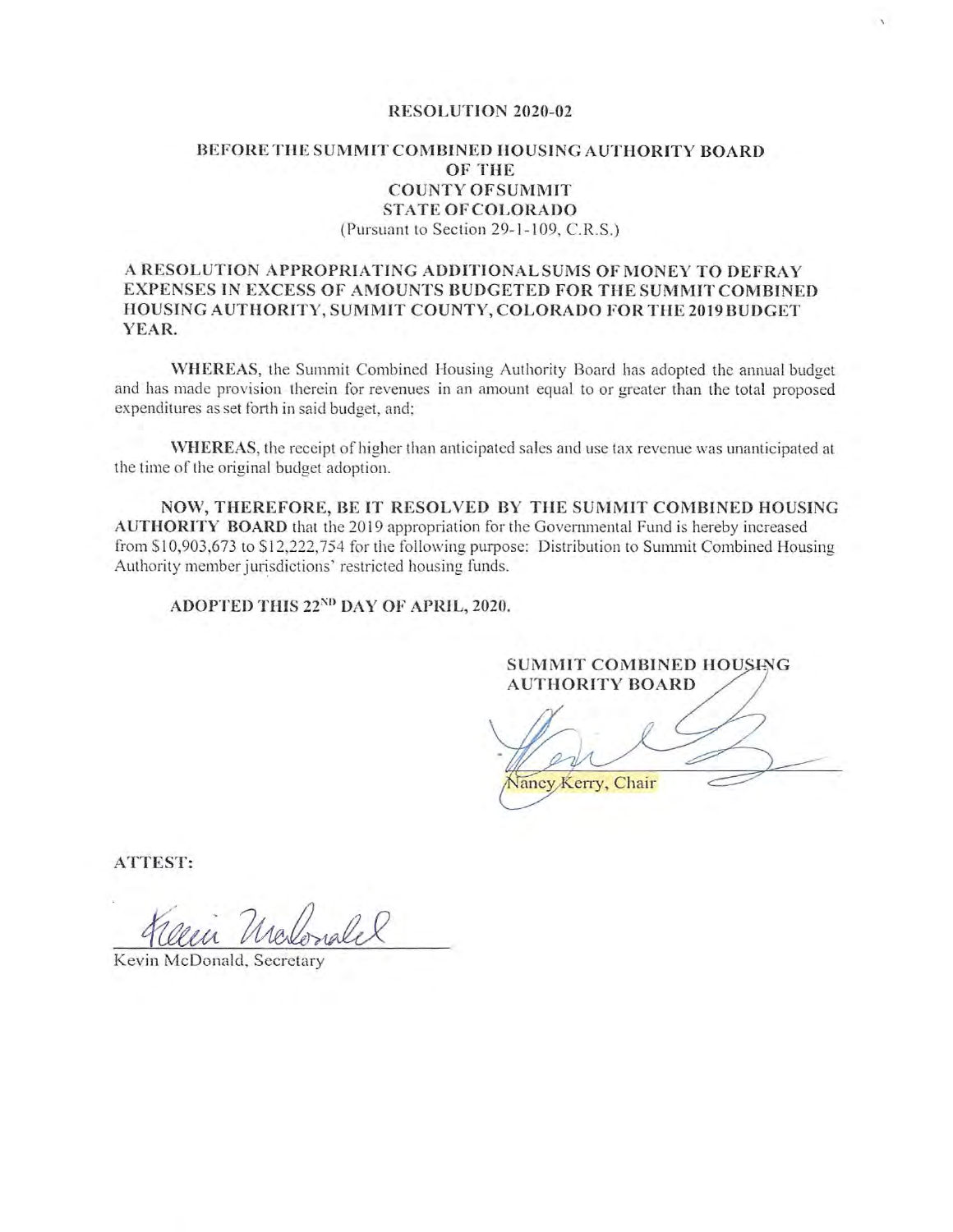### RESOLUTION 2020-02

### BEFORE THE SUMMIT COMBINED HOUSING AUTHORITY BOARD OF THE **COUNTY OFSUMMIT STATE OF COLORADO** (Pursuant to Section 29-1-109, C.R.S.)

### A RESOLUTION APPROPRIATING ADDITIONAL SUMS OF MONEY TO DEFRAY EXPENSES IN EXCESS OF AMOUNTS BUDGETED FOR THE SUMMIT COMBINED HOUSING AUTHORITY, SUMMIT COUNTY, COLORADO FOR THE 2019 BUDGET YEAR.

WHEREAS, the Summit Combined Housing Authority Board has adopted the annual budget and has made provision therein for revenues in an amount equal to or greater than the total proposed expenditures as set forth in said budget, and;

WHEREAS, the receipt of higher than anticipated sales and use tax revenue was unanticipated at the time of the original budget adoption.

NOW, THEREFORE, BE IT RESOLVED BY THE SUMMIT COMBINED HOUSING AUTHORITY BOARD that the 2019 appropriation for the Governmental Fund is hereby increased from \$10,903,673 to \$12,222,754 for the following purpose: Distribution to Summit Combined Housing Authority member jurisdictions' restricted housing funds.

ADOPTED THIS 22<sup>ND</sup> DAY OF APRIL, 2020.

SUMMIT COMBINED HOUSING **AUTHORITY BOARD** 

Vancy Kerry, Chair

ATTEST:

Kevin McDonald, Secretary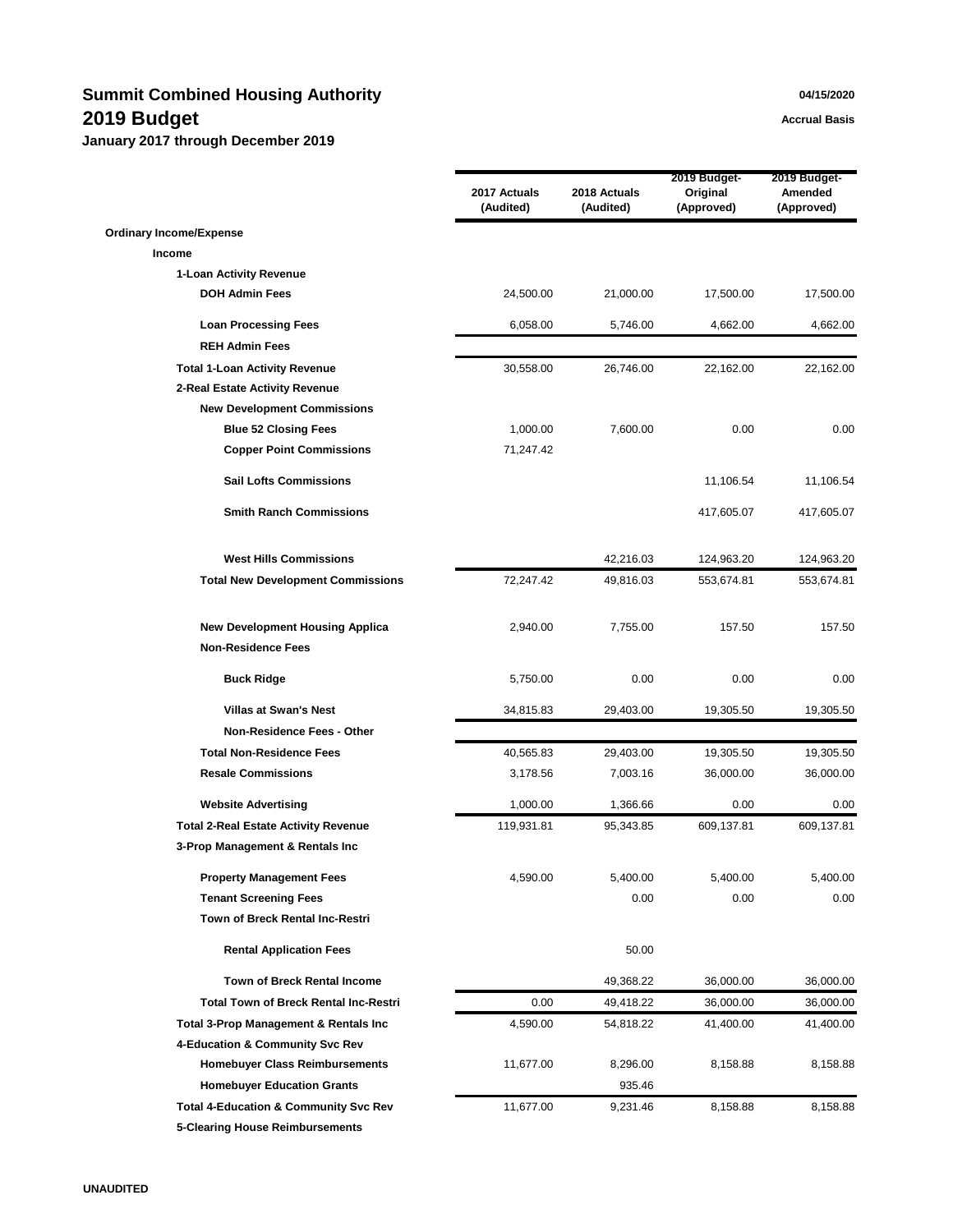# **Summit Combined Housing Authority 1988 1998 1999 1999 1999 1999 1999 1999 1999 1999 1999 1999 1999 1999 1999 1999 1999 1999 1999 1999 1999 1999 1999 1999 1999 1999 199 2019 Budget Accrual Basis Accrual Basis**

|                                                                     | 2017 Actuals<br>(Audited) | 2018 Actuals<br>(Audited) | 2019 Budget-<br>Original<br>(Approved) | 2019 Budget-<br>Amended<br>(Approved) |
|---------------------------------------------------------------------|---------------------------|---------------------------|----------------------------------------|---------------------------------------|
| <b>Ordinary Income/Expense</b>                                      |                           |                           |                                        |                                       |
| Income                                                              |                           |                           |                                        |                                       |
| 1-Loan Activity Revenue                                             |                           |                           |                                        |                                       |
| <b>DOH Admin Fees</b>                                               | 24,500.00                 | 21,000.00                 | 17,500.00                              | 17,500.00                             |
| <b>Loan Processing Fees</b>                                         | 6,058.00                  | 5,746.00                  | 4,662.00                               | 4,662.00                              |
| <b>REH Admin Fees</b>                                               |                           |                           |                                        |                                       |
| <b>Total 1-Loan Activity Revenue</b>                                | 30,558.00                 | 26,746.00                 | 22,162.00                              | 22,162.00                             |
| 2-Real Estate Activity Revenue                                      |                           |                           |                                        |                                       |
| <b>New Development Commissions</b>                                  |                           |                           |                                        |                                       |
| <b>Blue 52 Closing Fees</b>                                         | 1,000.00                  | 7,600.00                  | 0.00                                   | 0.00                                  |
| <b>Copper Point Commissions</b>                                     | 71,247.42                 |                           |                                        |                                       |
| <b>Sail Lofts Commissions</b>                                       |                           |                           | 11,106.54                              | 11,106.54                             |
| <b>Smith Ranch Commissions</b>                                      |                           |                           | 417,605.07                             | 417,605.07                            |
| <b>West Hills Commissions</b>                                       |                           | 42,216.03                 | 124,963.20                             | 124,963.20                            |
| <b>Total New Development Commissions</b>                            | 72,247.42                 | 49,816.03                 | 553,674.81                             | 553,674.81                            |
| <b>New Development Housing Applica</b><br><b>Non-Residence Fees</b> | 2,940.00                  | 7,755.00                  | 157.50                                 | 157.50                                |
| <b>Buck Ridge</b>                                                   | 5,750.00                  | 0.00                      | 0.00                                   | 0.00                                  |
| <b>Villas at Swan's Nest</b>                                        | 34,815.83                 | 29,403.00                 | 19,305.50                              | 19,305.50                             |
| Non-Residence Fees - Other                                          |                           |                           |                                        |                                       |
| <b>Total Non-Residence Fees</b>                                     | 40,565.83                 | 29,403.00                 | 19,305.50                              | 19,305.50                             |
| <b>Resale Commissions</b>                                           | 3,178.56                  | 7,003.16                  | 36,000.00                              | 36,000.00                             |
| <b>Website Advertising</b>                                          | 1,000.00                  | 1,366.66                  | 0.00                                   | 0.00                                  |
| <b>Total 2-Real Estate Activity Revenue</b>                         | 119,931.81                | 95,343.85                 | 609,137.81                             | 609,137.81                            |
| 3-Prop Management & Rentals Inc                                     |                           |                           |                                        |                                       |
| <b>Property Management Fees</b>                                     | 4,590.00                  | 5,400.00                  | 5,400.00                               | 5,400.00                              |
| <b>Tenant Screening Fees</b>                                        |                           | 0.00                      | 0.00                                   | 0.00                                  |
| Town of Breck Rental Inc-Restri                                     |                           |                           |                                        |                                       |
| <b>Rental Application Fees</b>                                      |                           | 50.00                     |                                        |                                       |
| <b>Town of Breck Rental Income</b>                                  |                           | 49,368.22                 | 36,000.00                              | 36,000.00                             |
| <b>Total Town of Breck Rental Inc-Restri</b>                        | 0.00                      | 49,418.22                 | 36,000.00                              | 36,000.00                             |
| <b>Total 3-Prop Management &amp; Rentals Inc.</b>                   | 4,590.00                  | 54,818.22                 | 41,400.00                              | 41,400.00                             |
| 4-Education & Community Svc Rev                                     |                           |                           |                                        |                                       |
| <b>Homebuyer Class Reimbursements</b>                               | 11,677.00                 | 8,296.00                  | 8,158.88                               | 8,158.88                              |
| <b>Homebuyer Education Grants</b>                                   |                           | 935.46                    |                                        |                                       |
| <b>Total 4-Education &amp; Community Svc Rev</b>                    | 11,677.00                 | 9,231.46                  | 8,158.88                               | 8,158.88                              |
| <b>5-Clearing House Reimbursements</b>                              |                           |                           |                                        |                                       |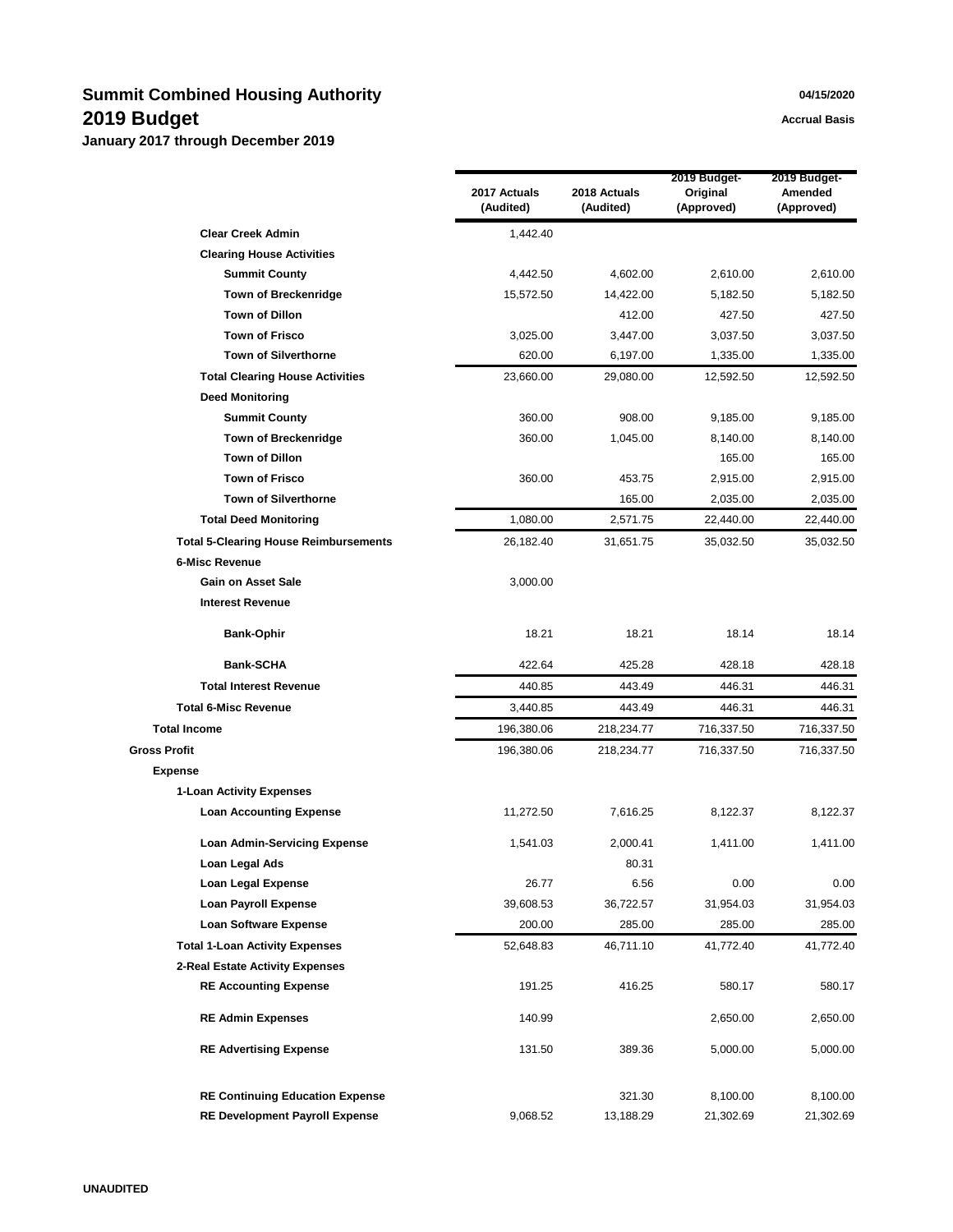## **Summit Combined Housing Authority 04/15/2020 2019 Budget Accrual Basis Accrual Basis**

|                                              | 2017 Actuals<br>(Audited) | 2018 Actuals<br>(Audited) | 2019 Budget-<br>Original<br>(Approved) | 2019 Budget-<br>Amended<br>(Approved) |
|----------------------------------------------|---------------------------|---------------------------|----------------------------------------|---------------------------------------|
| <b>Clear Creek Admin</b>                     | 1,442.40                  |                           |                                        |                                       |
| <b>Clearing House Activities</b>             |                           |                           |                                        |                                       |
| <b>Summit County</b>                         | 4,442.50                  | 4,602.00                  | 2,610.00                               | 2,610.00                              |
| <b>Town of Breckenridge</b>                  | 15,572.50                 | 14,422.00                 | 5,182.50                               | 5,182.50                              |
| <b>Town of Dillon</b>                        |                           | 412.00                    | 427.50                                 | 427.50                                |
| <b>Town of Frisco</b>                        | 3,025.00                  | 3,447.00                  | 3,037.50                               | 3,037.50                              |
| <b>Town of Silverthorne</b>                  | 620.00                    | 6,197.00                  | 1,335.00                               | 1,335.00                              |
| <b>Total Clearing House Activities</b>       | 23,660.00                 | 29,080.00                 | 12,592.50                              | 12,592.50                             |
| <b>Deed Monitoring</b>                       |                           |                           |                                        |                                       |
| <b>Summit County</b>                         | 360.00                    | 908.00                    | 9,185.00                               | 9,185.00                              |
| <b>Town of Breckenridge</b>                  | 360.00                    | 1,045.00                  | 8,140.00                               | 8,140.00                              |
| <b>Town of Dillon</b>                        |                           |                           | 165.00                                 | 165.00                                |
| <b>Town of Frisco</b>                        | 360.00                    | 453.75                    | 2,915.00                               | 2,915.00                              |
| <b>Town of Silverthorne</b>                  |                           | 165.00                    | 2,035.00                               | 2,035.00                              |
| <b>Total Deed Monitoring</b>                 | 1,080.00                  | 2,571.75                  | 22,440.00                              | 22,440.00                             |
| <b>Total 5-Clearing House Reimbursements</b> | 26,182.40                 | 31,651.75                 | 35,032.50                              | 35,032.50                             |
| <b>6-Misc Revenue</b>                        |                           |                           |                                        |                                       |
| <b>Gain on Asset Sale</b>                    | 3,000.00                  |                           |                                        |                                       |
| <b>Interest Revenue</b>                      |                           |                           |                                        |                                       |
| <b>Bank-Ophir</b>                            | 18.21                     | 18.21                     | 18.14                                  | 18.14                                 |
| Bank-SCHA                                    | 422.64                    | 425.28                    | 428.18                                 | 428.18                                |
| <b>Total Interest Revenue</b>                | 440.85                    | 443.49                    | 446.31                                 | 446.31                                |
| <b>Total 6-Misc Revenue</b>                  | 3,440.85                  | 443.49                    | 446.31                                 | 446.31                                |
| <b>Total Income</b>                          | 196,380.06                | 218,234.77                | 716,337.50                             | 716,337.50                            |
| <b>Gross Profit</b>                          | 196,380.06                | 218,234.77                | 716,337.50                             | 716,337.50                            |
| <b>Expense</b>                               |                           |                           |                                        |                                       |
| 1-Loan Activity Expenses                     |                           |                           |                                        |                                       |
| <b>Loan Accounting Expense</b>               | 11,272.50                 | 7,616.25                  | 8,122.37                               | 8,122.37                              |
| <b>Loan Admin-Servicing Expense</b>          | 1,541.03                  | 2,000.41                  | 1,411.00                               | 1,411.00                              |
| Loan Legal Ads                               |                           | 80.31                     |                                        |                                       |
| Loan Legal Expense                           | 26.77                     | 6.56                      | 0.00                                   | 0.00                                  |
| <b>Loan Payroll Expense</b>                  | 39,608.53                 | 36,722.57                 | 31,954.03                              | 31,954.03                             |
| <b>Loan Software Expense</b>                 | 200.00                    | 285.00                    | 285.00                                 | 285.00                                |
| <b>Total 1-Loan Activity Expenses</b>        | 52,648.83                 | 46,711.10                 | 41,772.40                              | 41,772.40                             |
| 2-Real Estate Activity Expenses              |                           |                           |                                        |                                       |
| <b>RE Accounting Expense</b>                 | 191.25                    | 416.25                    | 580.17                                 | 580.17                                |
| <b>RE Admin Expenses</b>                     | 140.99                    |                           | 2,650.00                               | 2,650.00                              |
| <b>RE Advertising Expense</b>                | 131.50                    | 389.36                    | 5,000.00                               | 5,000.00                              |
| <b>RE Continuing Education Expense</b>       |                           | 321.30                    | 8,100.00                               | 8,100.00                              |
| <b>RE Development Payroll Expense</b>        | 9,068.52                  | 13,188.29                 | 21,302.69                              | 21,302.69                             |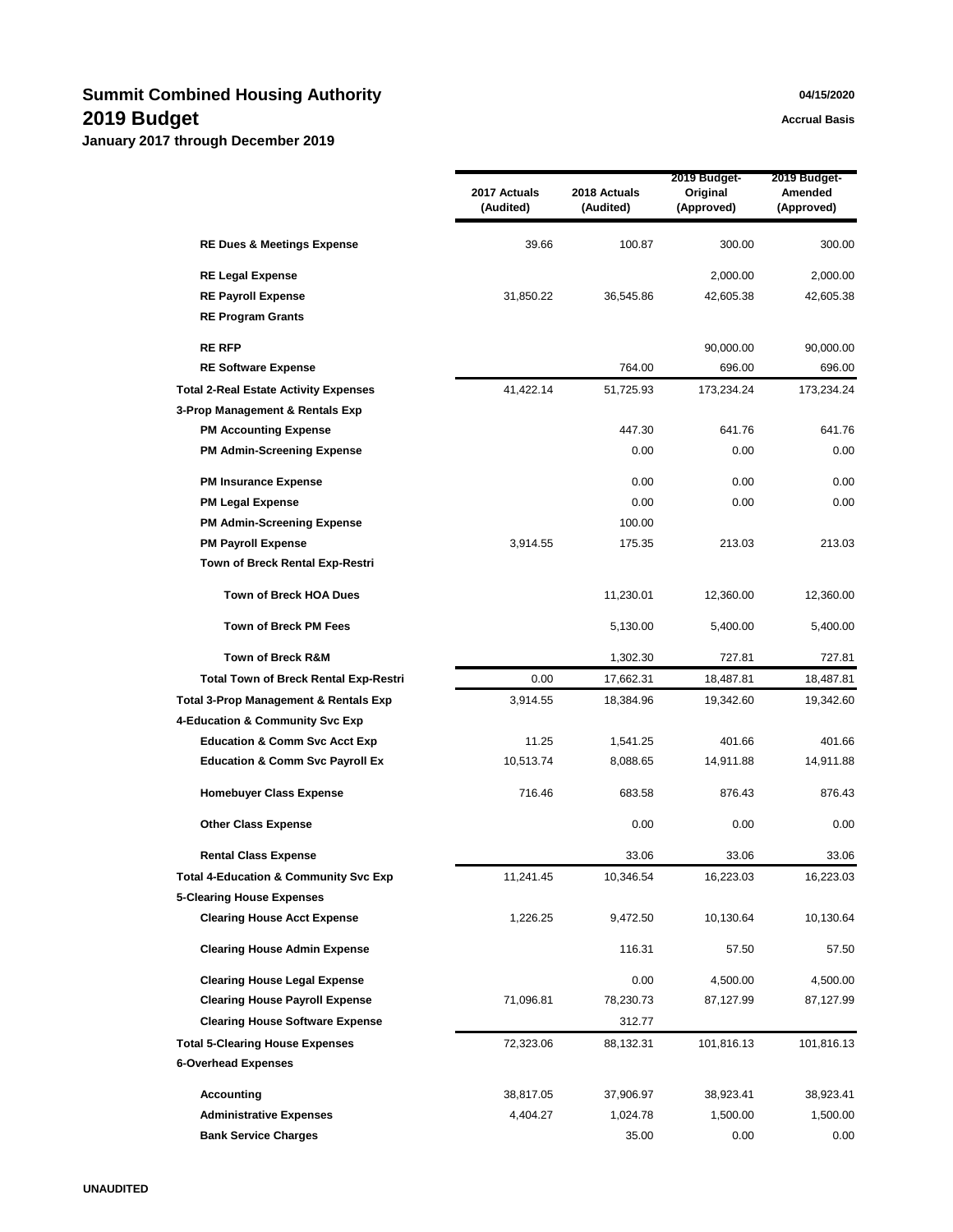## **Summit Combined Housing Authority 04/15/2020 2019 Budget Accrual Basis Accrual Basis**

|                                                  | 2017 Actuals<br>(Audited) | 2018 Actuals<br>(Audited) | 2019 Budget-<br>Original<br>(Approved) | 2019 Budget-<br>Amended<br>(Approved) |
|--------------------------------------------------|---------------------------|---------------------------|----------------------------------------|---------------------------------------|
| <b>RE Dues &amp; Meetings Expense</b>            | 39.66                     | 100.87                    | 300.00                                 | 300.00                                |
| <b>RE Legal Expense</b>                          |                           |                           | 2,000.00                               | 2,000.00                              |
| <b>RE Payroll Expense</b>                        | 31,850.22                 | 36,545.86                 | 42,605.38                              | 42,605.38                             |
| <b>RE Program Grants</b>                         |                           |                           |                                        |                                       |
| <b>RE RFP</b>                                    |                           |                           | 90,000.00                              | 90,000.00                             |
| <b>RE Software Expense</b>                       |                           | 764.00                    | 696.00                                 | 696.00                                |
| <b>Total 2-Real Estate Activity Expenses</b>     | 41,422.14                 | 51,725.93                 | 173,234.24                             | 173,234.24                            |
| 3-Prop Management & Rentals Exp                  |                           |                           |                                        |                                       |
| <b>PM Accounting Expense</b>                     |                           | 447.30                    | 641.76                                 | 641.76                                |
| <b>PM Admin-Screening Expense</b>                |                           | 0.00                      | 0.00                                   | 0.00                                  |
| <b>PM Insurance Expense</b>                      |                           | 0.00                      | 0.00                                   | 0.00                                  |
| <b>PM Legal Expense</b>                          |                           | 0.00                      | 0.00                                   | 0.00                                  |
| <b>PM Admin-Screening Expense</b>                |                           | 100.00                    |                                        |                                       |
| <b>PM Payroll Expense</b>                        | 3,914.55                  | 175.35                    | 213.03                                 | 213.03                                |
| Town of Breck Rental Exp-Restri                  |                           |                           |                                        |                                       |
| <b>Town of Breck HOA Dues</b>                    |                           | 11,230.01                 | 12,360.00                              | 12,360.00                             |
| <b>Town of Breck PM Fees</b>                     |                           | 5,130.00                  | 5,400.00                               | 5,400.00                              |
| Town of Breck R&M                                |                           | 1,302.30                  | 727.81                                 | 727.81                                |
| <b>Total Town of Breck Rental Exp-Restri</b>     | 0.00                      | 17,662.31                 | 18,487.81                              | 18,487.81                             |
| <b>Total 3-Prop Management &amp; Rentals Exp</b> | 3,914.55                  | 18,384.96                 | 19,342.60                              | 19,342.60                             |
| 4-Education & Community Svc Exp                  |                           |                           |                                        |                                       |
| <b>Education &amp; Comm Svc Acct Exp</b>         | 11.25                     | 1,541.25                  | 401.66                                 | 401.66                                |
| <b>Education &amp; Comm Svc Payroll Ex</b>       | 10,513.74                 | 8,088.65                  | 14,911.88                              | 14,911.88                             |
| <b>Homebuyer Class Expense</b>                   | 716.46                    | 683.58                    | 876.43                                 | 876.43                                |
| <b>Other Class Expense</b>                       |                           | 0.00                      | 0.00                                   | 0.00                                  |
| <b>Rental Class Expense</b>                      |                           | 33.06                     | 33.06                                  | 33.06                                 |
| <b>Total 4-Education &amp; Community Svc Exp</b> | 11,241.45                 | 10,346.54                 | 16,223.03                              | 16,223.03                             |
| <b>5-Clearing House Expenses</b>                 |                           |                           |                                        |                                       |
| <b>Clearing House Acct Expense</b>               | 1,226.25                  | 9,472.50                  | 10,130.64                              | 10,130.64                             |
| <b>Clearing House Admin Expense</b>              |                           | 116.31                    | 57.50                                  | 57.50                                 |
| <b>Clearing House Legal Expense</b>              |                           | 0.00                      | 4,500.00                               | 4,500.00                              |
| <b>Clearing House Payroll Expense</b>            | 71,096.81                 | 78,230.73                 | 87,127.99                              | 87,127.99                             |
| <b>Clearing House Software Expense</b>           |                           | 312.77                    |                                        |                                       |
| <b>Total 5-Clearing House Expenses</b>           | 72,323.06                 | 88,132.31                 | 101,816.13                             | 101,816.13                            |
| <b>6-Overhead Expenses</b>                       |                           |                           |                                        |                                       |
| <b>Accounting</b>                                | 38,817.05                 | 37,906.97                 | 38,923.41                              | 38,923.41                             |
| <b>Administrative Expenses</b>                   | 4,404.27                  | 1,024.78                  | 1,500.00                               | 1,500.00                              |
| <b>Bank Service Charges</b>                      |                           | 35.00                     | 0.00                                   | 0.00                                  |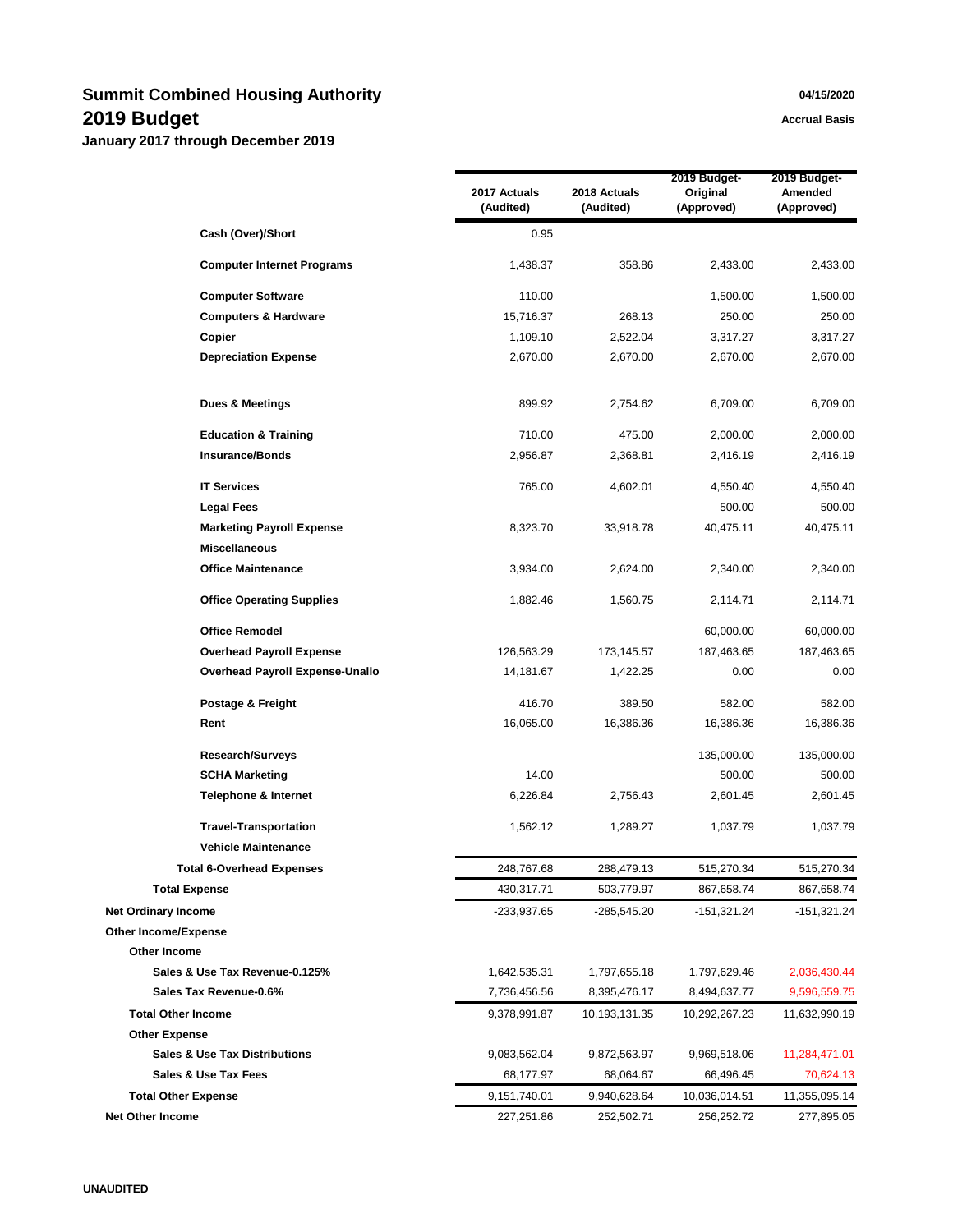## **Summit Combined Housing Authority 1996 1997 <b>1998 1997 <b>1998 1998 1998 1998 1999 1999 1999 1999 1999 1999 1999 1999 1999 1999 1999 1999 1999 1999 1999 1999 1999 1999 1999 2019 Budget Accrual Basis Accrual Basis**

|                             |                                          | 2017 Actuals<br>(Audited) | 2018 Actuals<br>(Audited) | 2019 Budget-<br>Original<br>(Approved) | 2019 Budget-<br>Amended<br>(Approved) |
|-----------------------------|------------------------------------------|---------------------------|---------------------------|----------------------------------------|---------------------------------------|
|                             | Cash (Over)/Short                        | 0.95                      |                           |                                        |                                       |
|                             | <b>Computer Internet Programs</b>        | 1,438.37                  | 358.86                    | 2,433.00                               | 2,433.00                              |
|                             | <b>Computer Software</b>                 | 110.00                    |                           | 1,500.00                               | 1,500.00                              |
|                             | <b>Computers &amp; Hardware</b>          | 15,716.37                 | 268.13                    | 250.00                                 | 250.00                                |
|                             | Copier                                   | 1,109.10                  | 2,522.04                  | 3,317.27                               | 3,317.27                              |
|                             | <b>Depreciation Expense</b>              | 2,670.00                  | 2,670.00                  | 2,670.00                               | 2,670.00                              |
|                             | Dues & Meetings                          | 899.92                    | 2,754.62                  | 6,709.00                               | 6,709.00                              |
|                             | <b>Education &amp; Training</b>          | 710.00                    | 475.00                    | 2,000.00                               | 2,000.00                              |
|                             | <b>Insurance/Bonds</b>                   | 2,956.87                  | 2,368.81                  | 2,416.19                               | 2,416.19                              |
|                             | <b>IT Services</b>                       | 765.00                    | 4,602.01                  | 4,550.40                               | 4,550.40                              |
|                             | <b>Legal Fees</b>                        |                           |                           | 500.00                                 | 500.00                                |
|                             | <b>Marketing Payroll Expense</b>         | 8,323.70                  | 33,918.78                 | 40,475.11                              | 40,475.11                             |
|                             | <b>Miscellaneous</b>                     |                           |                           |                                        |                                       |
|                             | <b>Office Maintenance</b>                | 3,934.00                  | 2,624.00                  | 2,340.00                               | 2,340.00                              |
|                             | <b>Office Operating Supplies</b>         | 1,882.46                  | 1,560.75                  | 2,114.71                               | 2,114.71                              |
|                             | <b>Office Remodel</b>                    |                           |                           | 60,000.00                              | 60,000.00                             |
|                             | <b>Overhead Payroll Expense</b>          | 126,563.29                | 173,145.57                | 187,463.65                             | 187,463.65                            |
|                             | Overhead Payroll Expense-Unallo          | 14,181.67                 | 1,422.25                  | 0.00                                   | 0.00                                  |
|                             | Postage & Freight                        | 416.70                    | 389.50                    | 582.00                                 | 582.00                                |
|                             | Rent                                     | 16,065.00                 | 16,386.36                 | 16,386.36                              | 16,386.36                             |
|                             | <b>Research/Surveys</b>                  |                           |                           | 135,000.00                             | 135,000.00                            |
|                             | <b>SCHA Marketing</b>                    | 14.00                     |                           | 500.00                                 | 500.00                                |
|                             | <b>Telephone &amp; Internet</b>          | 6,226.84                  | 2,756.43                  | 2,601.45                               | 2,601.45                              |
|                             | <b>Travel-Transportation</b>             | 1,562.12                  | 1,289.27                  | 1,037.79                               | 1,037.79                              |
|                             | <b>Vehicle Maintenance</b>               |                           |                           |                                        |                                       |
|                             | <b>Total 6-Overhead Expenses</b>         | 248,767.68                | 288,479.13                | 515,270.34                             | 515,270.34                            |
|                             | <b>Total Expense</b>                     | 430,317.71                | 503,779.97                | 867,658.74                             | 867,658.74                            |
| <b>Net Ordinary Income</b>  |                                          | -233,937.65               | $-285,545.20$             | $-151,321.24$                          | -151,321.24                           |
| <b>Other Income/Expense</b> |                                          |                           |                           |                                        |                                       |
| Other Income                |                                          |                           |                           |                                        |                                       |
|                             | Sales & Use Tax Revenue-0.125%           | 1,642,535.31              | 1,797,655.18              | 1,797,629.46                           | 2,036,430.44                          |
|                             | Sales Tax Revenue-0.6%                   | 7,736,456.56              | 8,395,476.17              | 8,494,637.77                           | 9,596,559.75                          |
| <b>Total Other Income</b>   |                                          | 9,378,991.87              | 10, 193, 131. 35          | 10,292,267.23                          | 11,632,990.19                         |
| <b>Other Expense</b>        |                                          |                           |                           |                                        |                                       |
|                             | <b>Sales &amp; Use Tax Distributions</b> | 9,083,562.04              | 9,872,563.97              | 9,969,518.06                           | 11,284,471.01                         |
|                             | Sales & Use Tax Fees                     | 68,177.97                 | 68,064.67                 | 66,496.45                              | 70,624.13                             |
| <b>Total Other Expense</b>  |                                          | 9,151,740.01              | 9,940,628.64              | 10,036,014.51                          | 11,355,095.14                         |
| Net Other Income            |                                          | 227,251.86                | 252,502.71                | 256,252.72                             | 277,895.05                            |